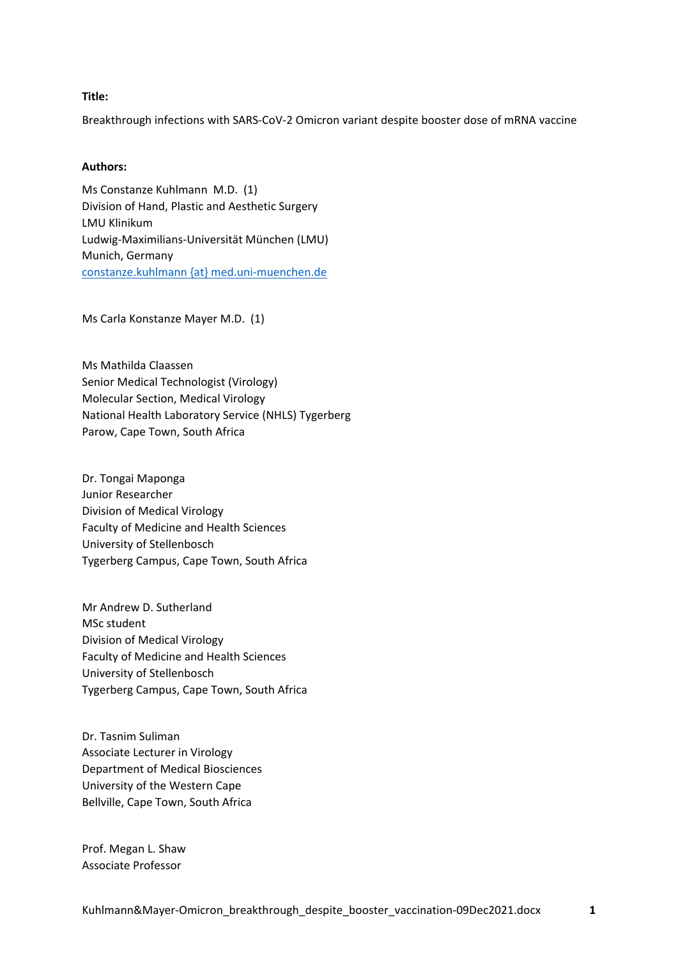#### **Title:**

Breakthrough infections with SARS-CoV-2 Omicron variant despite booster dose of mRNA vaccine

### **Authors:**

Ms Constanze Kuhlmann M.D. (1) Division of Hand, Plastic and Aesthetic Surgery LMU Klinikum Ludwig-Maximilians-Universität München (LMU) Munich, Germany constanze.kuhlmann {at} med.uni-muenchen.de

Ms Carla Konstanze Mayer M.D. (1)

Ms Mathilda Claassen Senior Medical Technologist (Virology) Molecular Section, Medical Virology National Health Laboratory Service (NHLS) Tygerberg Parow, Cape Town, South Africa

Dr. Tongai Maponga Junior Researcher Division of Medical Virology Faculty of Medicine and Health Sciences University of Stellenbosch Tygerberg Campus, Cape Town, South Africa

Mr Andrew D. Sutherland MSc student Division of Medical Virology Faculty of Medicine and Health Sciences University of Stellenbosch Tygerberg Campus, Cape Town, South Africa

Dr. Tasnim Suliman Associate Lecturer in Virology Department of Medical Biosciences University of the Western Cape Bellville, Cape Town, South Africa

Prof. Megan L. Shaw Associate Professor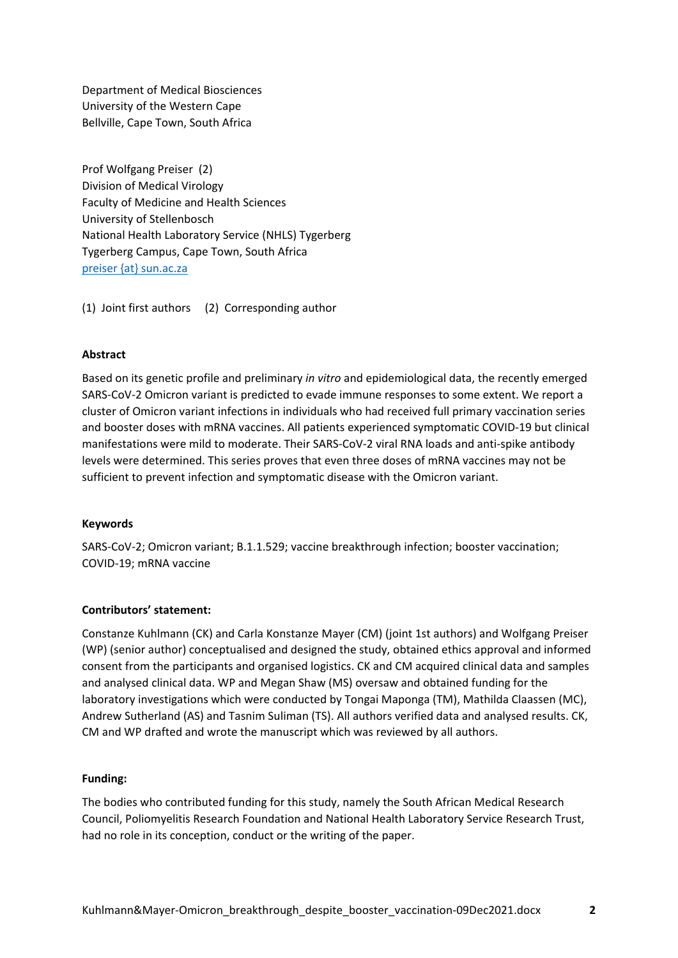Department of Medical Biosciences University of the Western Cape Bellville, Cape Town, South Africa

Prof Wolfgang Preiser (2) Division of Medical Virology Faculty of Medicine and Health Sciences University of Stellenbosch National Health Laboratory Service (NHLS) Tygerberg Tygerberg Campus, Cape Town, South Africa preiser {at} sun.ac.za

(1) Joint first authors (2) Corresponding author

#### **Abstract**

Based on its genetic profile and preliminary *in vitro* and epidemiological data, the recently emerged SARS-CoV-2 Omicron variant is predicted to evade immune responses to some extent. We report a cluster of Omicron variant infections in individuals who had received full primary vaccination series and booster doses with mRNA vaccines. All patients experienced symptomatic COVID-19 but clinical manifestations were mild to moderate. Their SARS-CoV-2 viral RNA loads and anti-spike antibody levels were determined. This series proves that even three doses of mRNA vaccines may not be sufficient to prevent infection and symptomatic disease with the Omicron variant.

#### **Keywords**

SARS-CoV-2; Omicron variant; B.1.1.529; vaccine breakthrough infection; booster vaccination; COVID-19; mRNA vaccine

# **Contributors' statement:**

Constanze Kuhlmann (CK) and Carla Konstanze Mayer (CM) (joint 1st authors) and Wolfgang Preiser (WP) (senior author) conceptualised and designed the study, obtained ethics approval and informed consent from the participants and organised logistics. CK and CM acquired clinical data and samples and analysed clinical data. WP and Megan Shaw (MS) oversaw and obtained funding for the laboratory investigations which were conducted by Tongai Maponga (TM), Mathilda Claassen (MC), Andrew Sutherland (AS) and Tasnim Suliman (TS). All authors verified data and analysed results. CK, CM and WP drafted and wrote the manuscript which was reviewed by all authors.

#### **Funding:**

The bodies who contributed funding for this study, namely the South African Medical Research Council, Poliomyelitis Research Foundation and National Health Laboratory Service Research Trust, had no role in its conception, conduct or the writing of the paper.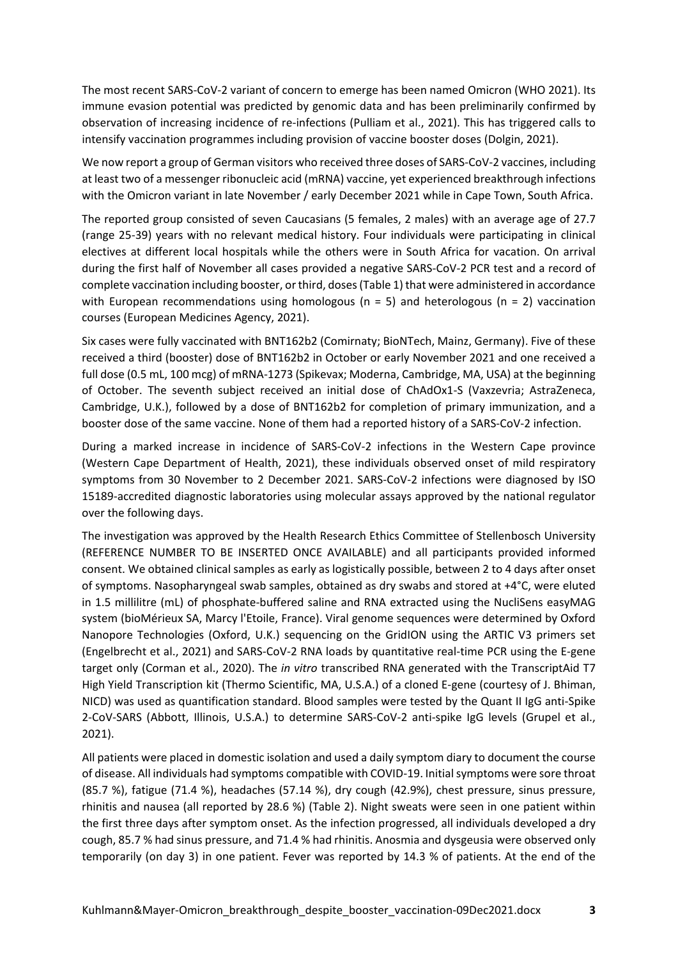The most recent SARS-CoV-2 variant of concern to emerge has been named Omicron (WHO 2021). Its immune evasion potential was predicted by genomic data and has been preliminarily confirmed by observation of increasing incidence of re-infections (Pulliam et al., 2021). This has triggered calls to intensify vaccination programmes including provision of vaccine booster doses (Dolgin, 2021).

We now report a group of German visitors who received three doses of SARS-CoV-2 vaccines, including at least two of a messenger ribonucleic acid (mRNA) vaccine, yet experienced breakthrough infections with the Omicron variant in late November / early December 2021 while in Cape Town, South Africa.

The reported group consisted of seven Caucasians (5 females, 2 males) with an average age of 27.7 (range 25-39) years with no relevant medical history. Four individuals were participating in clinical electives at different local hospitals while the others were in South Africa for vacation. On arrival during the first half of November all cases provided a negative SARS-CoV-2 PCR test and a record of complete vaccination including booster, or third, doses (Table 1) that were administered in accordance with European recommendations using homologous ( $n = 5$ ) and heterologous ( $n = 2$ ) vaccination courses (European Medicines Agency, 2021).

Six cases were fully vaccinated with BNT162b2 (Comirnaty; BioNTech, Mainz, Germany). Five of these received a third (booster) dose of BNT162b2 in October or early November 2021 and one received a full dose (0.5 mL, 100 mcg) of mRNA-1273 (Spikevax; Moderna, Cambridge, MA, USA) at the beginning of October. The seventh subject received an initial dose of ChAdOx1-S (Vaxzevria; AstraZeneca, Cambridge, U.K.), followed by a dose of BNT162b2 for completion of primary immunization, and a booster dose of the same vaccine. None of them had a reported history of a SARS-CoV-2 infection.

During a marked increase in incidence of SARS-CoV-2 infections in the Western Cape province (Western Cape Department of Health, 2021), these individuals observed onset of mild respiratory symptoms from 30 November to 2 December 2021. SARS-CoV-2 infections were diagnosed by ISO 15189-accredited diagnostic laboratories using molecular assays approved by the national regulator over the following days.

The investigation was approved by the Health Research Ethics Committee of Stellenbosch University (REFERENCE NUMBER TO BE INSERTED ONCE AVAILABLE) and all participants provided informed consent. We obtained clinical samples as early as logistically possible, between 2 to 4 days after onset of symptoms. Nasopharyngeal swab samples, obtained as dry swabs and stored at +4°C, were eluted in 1.5 millilitre (mL) of phosphate-buffered saline and RNA extracted using the NucliSens easyMAG system (bioMérieux SA, Marcy l'Etoile, France). Viral genome sequences were determined by Oxford Nanopore Technologies (Oxford, U.K.) sequencing on the GridION using the ARTIC V3 primers set (Engelbrecht et al., 2021) and SARS-CoV-2 RNA loads by quantitative real-time PCR using the E-gene target only (Corman et al., 2020). The *in vitro* transcribed RNA generated with the TranscriptAid T7 High Yield Transcription kit (Thermo Scientific, MA, U.S.A.) of a cloned E-gene (courtesy of J. Bhiman, NICD) was used as quantification standard. Blood samples were tested by the Quant II IgG anti-Spike 2-CoV-SARS (Abbott, Illinois, U.S.A.) to determine SARS-CoV-2 anti-spike IgG levels (Grupel et al., 2021).

All patients were placed in domestic isolation and used a daily symptom diary to document the course of disease. All individuals had symptoms compatible with COVID-19. Initial symptoms were sore throat (85.7 %), fatigue (71.4 %), headaches (57.14 %), dry cough (42.9%), chest pressure, sinus pressure, rhinitis and nausea (all reported by 28.6 %) (Table 2). Night sweats were seen in one patient within the first three days after symptom onset. As the infection progressed, all individuals developed a dry cough, 85.7 % had sinus pressure, and 71.4 % had rhinitis. Anosmia and dysgeusia were observed only temporarily (on day 3) in one patient. Fever was reported by 14.3 % of patients. At the end of the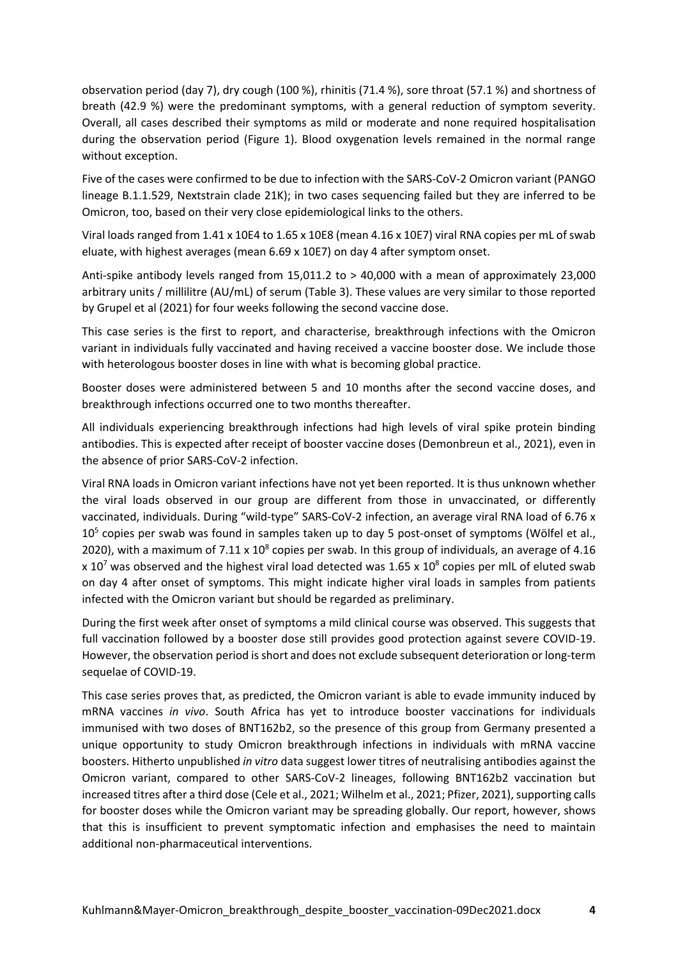observation period (day 7), dry cough (100 %), rhinitis (71.4 %), sore throat (57.1 %) and shortness of breath (42.9 %) were the predominant symptoms, with a general reduction of symptom severity. Overall, all cases described their symptoms as mild or moderate and none required hospitalisation during the observation period (Figure 1). Blood oxygenation levels remained in the normal range without exception.

Five of the cases were confirmed to be due to infection with the SARS-CoV-2 Omicron variant (PANGO lineage B.1.1.529, Nextstrain clade 21K); in two cases sequencing failed but they are inferred to be Omicron, too, based on their very close epidemiological links to the others.

Viral loads ranged from 1.41 x 10E4 to 1.65 x 10E8 (mean 4.16 x 10E7) viral RNA copies per mL of swab eluate, with highest averages (mean 6.69 x 10E7) on day 4 after symptom onset.

Anti-spike antibody levels ranged from 15,011.2 to > 40,000 with a mean of approximately 23,000 arbitrary units / millilitre (AU/mL) of serum (Table 3). These values are very similar to those reported by Grupel et al (2021) for four weeks following the second vaccine dose.

This case series is the first to report, and characterise, breakthrough infections with the Omicron variant in individuals fully vaccinated and having received a vaccine booster dose. We include those with heterologous booster doses in line with what is becoming global practice.

Booster doses were administered between 5 and 10 months after the second vaccine doses, and breakthrough infections occurred one to two months thereafter.

All individuals experiencing breakthrough infections had high levels of viral spike protein binding antibodies. This is expected after receipt of booster vaccine doses (Demonbreun et al., 2021), even in the absence of prior SARS-CoV-2 infection.

Viral RNA loads in Omicron variant infections have not yet been reported. It is thus unknown whether the viral loads observed in our group are different from those in unvaccinated, or differently vaccinated, individuals. During "wild-type" SARS-CoV-2 infection, an average viral RNA load of 6.76 x  $10<sup>5</sup>$  copies per swab was found in samples taken up to day 5 post-onset of symptoms (Wölfel et al., 2020), with a maximum of  $7.11 \times 10^8$  copies per swab. In this group of individuals, an average of 4.16 x 10<sup>7</sup> was observed and the highest viral load detected was 1.65 x 10<sup>8</sup> copies per mlL of eluted swab on day 4 after onset of symptoms. This might indicate higher viral loads in samples from patients infected with the Omicron variant but should be regarded as preliminary.

During the first week after onset of symptoms a mild clinical course was observed. This suggests that full vaccination followed by a booster dose still provides good protection against severe COVID-19. However, the observation period is short and does not exclude subsequent deterioration or long-term sequelae of COVID-19.

This case series proves that, as predicted, the Omicron variant is able to evade immunity induced by mRNA vaccines *in vivo*. South Africa has yet to introduce booster vaccinations for individuals immunised with two doses of BNT162b2, so the presence of this group from Germany presented a unique opportunity to study Omicron breakthrough infections in individuals with mRNA vaccine boosters. Hitherto unpublished *in vitro* data suggest lower titres of neutralising antibodies against the Omicron variant, compared to other SARS-CoV-2 lineages, following BNT162b2 vaccination but increased titres after a third dose (Cele et al., 2021; Wilhelm et al., 2021; Pfizer, 2021), supporting calls for booster doses while the Omicron variant may be spreading globally. Our report, however, shows that this is insufficient to prevent symptomatic infection and emphasises the need to maintain additional non-pharmaceutical interventions.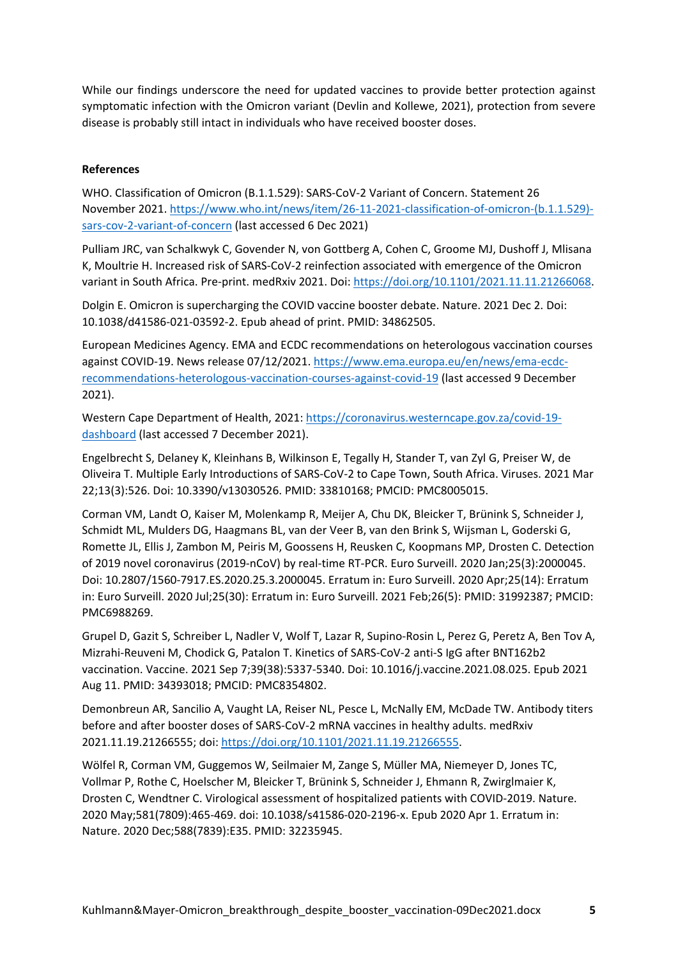While our findings underscore the need for updated vaccines to provide better protection against symptomatic infection with the Omicron variant (Devlin and Kollewe, 2021), protection from severe disease is probably still intact in individuals who have received booster doses.

# **References**

WHO. Classification of Omicron (B.1.1.529): SARS-CoV-2 Variant of Concern. Statement 26 November 2021. https://www.who.int/news/item/26-11-2021-classification-of-omicron-(b.1.1.529) sars-cov-2-variant-of-concern (last accessed 6 Dec 2021)

Pulliam JRC, van Schalkwyk C, Govender N, von Gottberg A, Cohen C, Groome MJ, Dushoff J, Mlisana K, Moultrie H. Increased risk of SARS-CoV-2 reinfection associated with emergence of the Omicron variant in South Africa. Pre-print. medRxiv 2021. Doi: https://doi.org/10.1101/2021.11.11.21266068.

Dolgin E. Omicron is supercharging the COVID vaccine booster debate. Nature. 2021 Dec 2. Doi: 10.1038/d41586-021-03592-2. Epub ahead of print. PMID: 34862505.

European Medicines Agency. EMA and ECDC recommendations on heterologous vaccination courses against COVID-19. News release 07/12/2021. https://www.ema.europa.eu/en/news/ema-ecdcrecommendations-heterologous-vaccination-courses-against-covid-19 (last accessed 9 December 2021).

Western Cape Department of Health, 2021: https://coronavirus.westerncape.gov.za/covid-19 dashboard (last accessed 7 December 2021).

Engelbrecht S, Delaney K, Kleinhans B, Wilkinson E, Tegally H, Stander T, van Zyl G, Preiser W, de Oliveira T. Multiple Early Introductions of SARS-CoV-2 to Cape Town, South Africa. Viruses. 2021 Mar 22;13(3):526. Doi: 10.3390/v13030526. PMID: 33810168; PMCID: PMC8005015.

Corman VM, Landt O, Kaiser M, Molenkamp R, Meijer A, Chu DK, Bleicker T, Brünink S, Schneider J, Schmidt ML, Mulders DG, Haagmans BL, van der Veer B, van den Brink S, Wijsman L, Goderski G, Romette JL, Ellis J, Zambon M, Peiris M, Goossens H, Reusken C, Koopmans MP, Drosten C. Detection of 2019 novel coronavirus (2019-nCoV) by real-time RT-PCR. Euro Surveill. 2020 Jan;25(3):2000045. Doi: 10.2807/1560-7917.ES.2020.25.3.2000045. Erratum in: Euro Surveill. 2020 Apr;25(14): Erratum in: Euro Surveill. 2020 Jul;25(30): Erratum in: Euro Surveill. 2021 Feb;26(5): PMID: 31992387; PMCID: PMC6988269.

Grupel D, Gazit S, Schreiber L, Nadler V, Wolf T, Lazar R, Supino-Rosin L, Perez G, Peretz A, Ben Tov A, Mizrahi-Reuveni M, Chodick G, Patalon T. Kinetics of SARS-CoV-2 anti-S IgG after BNT162b2 vaccination. Vaccine. 2021 Sep 7;39(38):5337-5340. Doi: 10.1016/j.vaccine.2021.08.025. Epub 2021 Aug 11. PMID: 34393018; PMCID: PMC8354802.

Demonbreun AR, Sancilio A, Vaught LA, Reiser NL, Pesce L, McNally EM, McDade TW. Antibody titers before and after booster doses of SARS-CoV-2 mRNA vaccines in healthy adults. medRxiv 2021.11.19.21266555; doi: https://doi.org/10.1101/2021.11.19.21266555.

Wölfel R, Corman VM, Guggemos W, Seilmaier M, Zange S, Müller MA, Niemeyer D, Jones TC, Vollmar P, Rothe C, Hoelscher M, Bleicker T, Brünink S, Schneider J, Ehmann R, Zwirglmaier K, Drosten C, Wendtner C. Virological assessment of hospitalized patients with COVID-2019. Nature. 2020 May;581(7809):465-469. doi: 10.1038/s41586-020-2196-x. Epub 2020 Apr 1. Erratum in: Nature. 2020 Dec;588(7839):E35. PMID: 32235945.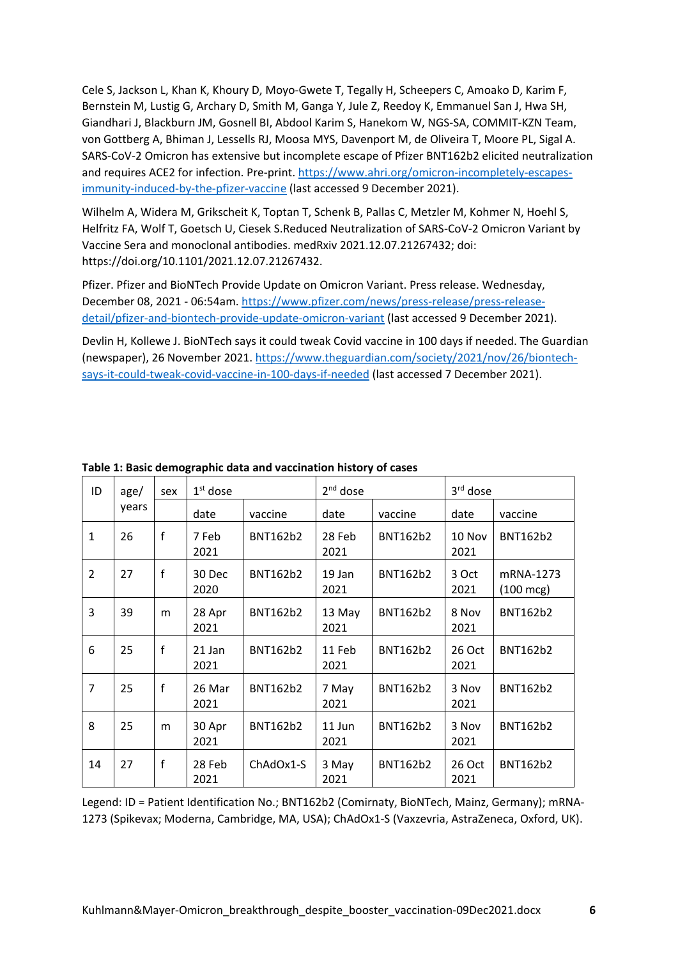Cele S, Jackson L, Khan K, Khoury D, Moyo-Gwete T, Tegally H, Scheepers C, Amoako D, Karim F, Bernstein M, Lustig G, Archary D, Smith M, Ganga Y, Jule Z, Reedoy K, Emmanuel San J, Hwa SH, Giandhari J, Blackburn JM, Gosnell BI, Abdool Karim S, Hanekom W, NGS-SA, COMMIT-KZN Team, von Gottberg A, Bhiman J, Lessells RJ, Moosa MYS, Davenport M, de Oliveira T, Moore PL, Sigal A. SARS-CoV-2 Omicron has extensive but incomplete escape of Pfizer BNT162b2 elicited neutralization and requires ACE2 for infection. Pre-print. https://www.ahri.org/omicron-incompletely-escapesimmunity-induced-by-the-pfizer-vaccine (last accessed 9 December 2021).

Wilhelm A, Widera M, Grikscheit K, Toptan T, Schenk B, Pallas C, Metzler M, Kohmer N, Hoehl S, Helfritz FA, Wolf T, Goetsch U, Ciesek S.Reduced Neutralization of SARS-CoV-2 Omicron Variant by Vaccine Sera and monoclonal antibodies. medRxiv 2021.12.07.21267432; doi: https://doi.org/10.1101/2021.12.07.21267432.

Pfizer. Pfizer and BioNTech Provide Update on Omicron Variant. Press release. Wednesday, December 08, 2021 - 06:54am. https://www.pfizer.com/news/press-release/press-releasedetail/pfizer-and-biontech-provide-update-omicron-variant (last accessed 9 December 2021).

Devlin H, Kollewe J. BioNTech says it could tweak Covid vaccine in 100 days if needed. The Guardian (newspaper), 26 November 2021. https://www.theguardian.com/society/2021/nov/26/biontechsays-it-could-tweak-covid-vaccine-in-100-days-if-needed (last accessed 7 December 2021).

| ID             | age/<br>years | sex          | $1st$ dose     |                 | $2nd$ dose     |                 | 3rd dose       |                                  |
|----------------|---------------|--------------|----------------|-----------------|----------------|-----------------|----------------|----------------------------------|
|                |               |              | date           | vaccine         | date           | vaccine         | date           | vaccine                          |
| $\mathbf{1}$   | 26            | $\mathsf{f}$ | 7 Feb<br>2021  | <b>BNT162b2</b> | 28 Feb<br>2021 | <b>BNT162b2</b> | 10 Nov<br>2021 | <b>BNT162b2</b>                  |
| 2              | 27            | f            | 30 Dec<br>2020 | BNT162b2        | 19 Jan<br>2021 | <b>BNT162b2</b> | 3 Oct<br>2021  | mRNA-1273<br>$(100 \text{ mcg})$ |
| 3              | 39            | m            | 28 Apr<br>2021 | <b>BNT162b2</b> | 13 May<br>2021 | BNT162b2        | 8 Nov<br>2021  | <b>BNT162b2</b>                  |
| 6              | 25            | f            | 21 Jan<br>2021 | BNT162b2        | 11 Feb<br>2021 | BNT162b2        | 26 Oct<br>2021 | <b>BNT162b2</b>                  |
| $\overline{7}$ | 25            | $\mathsf{f}$ | 26 Mar<br>2021 | <b>BNT162b2</b> | 7 May<br>2021  | BNT162b2        | 3 Nov<br>2021  | <b>BNT162b2</b>                  |
| 8              | 25            | m            | 30 Apr<br>2021 | <b>BNT162b2</b> | 11 Jun<br>2021 | BNT162b2        | 3 Nov<br>2021  | <b>BNT162b2</b>                  |
| 14             | 27            | f            | 28 Feb<br>2021 | ChAdOx1-S       | 3 May<br>2021  | <b>BNT162b2</b> | 26 Oct<br>2021 | <b>BNT162b2</b>                  |

# **Table 1: Basic demographic data and vaccination history of cases**

Legend: ID = Patient Identification No.; BNT162b2 (Comirnaty, BioNTech, Mainz, Germany); mRNA-1273 (Spikevax; Moderna, Cambridge, MA, USA); ChAdOx1-S (Vaxzevria, AstraZeneca, Oxford, UK).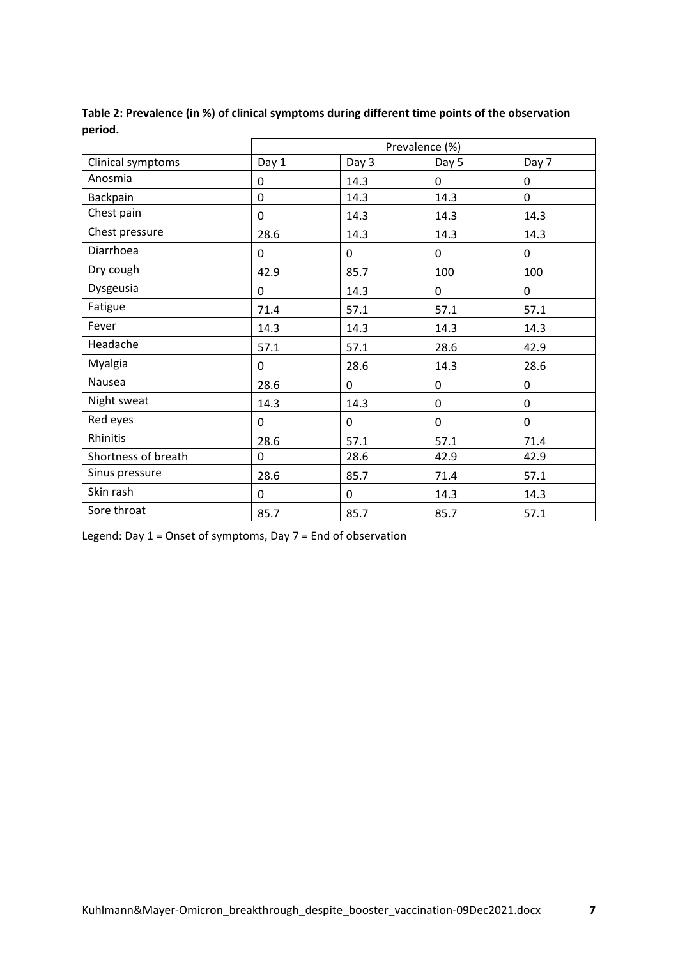|                     | Prevalence (%) |       |       |             |  |
|---------------------|----------------|-------|-------|-------------|--|
| Clinical symptoms   | Day 1          | Day 3 | Day 5 | Day 7       |  |
| Anosmia             | 0              | 14.3  | 0     | 0           |  |
| Backpain            | $\mathbf 0$    | 14.3  | 14.3  | $\mathbf 0$ |  |
| Chest pain          | 0              | 14.3  | 14.3  | 14.3        |  |
| Chest pressure      | 28.6           | 14.3  | 14.3  | 14.3        |  |
| Diarrhoea           | 0              | 0     | 0     | 0           |  |
| Dry cough           | 42.9           | 85.7  | 100   | 100         |  |
| Dysgeusia           | 0              | 14.3  | 0     | 0           |  |
| Fatigue             | 71.4           | 57.1  | 57.1  | 57.1        |  |
| Fever               | 14.3           | 14.3  | 14.3  | 14.3        |  |
| Headache            | 57.1           | 57.1  | 28.6  | 42.9        |  |
| Myalgia             | 0              | 28.6  | 14.3  | 28.6        |  |
| Nausea              | 28.6           | 0     | 0     | 0           |  |
| Night sweat         | 14.3           | 14.3  | 0     | 0           |  |
| Red eyes            | 0              | 0     | 0     | 0           |  |
| Rhinitis            | 28.6           | 57.1  | 57.1  | 71.4        |  |
| Shortness of breath | 0              | 28.6  | 42.9  | 42.9        |  |
| Sinus pressure      | 28.6           | 85.7  | 71.4  | 57.1        |  |
| Skin rash           | 0              | 0     | 14.3  | 14.3        |  |
| Sore throat         | 85.7           | 85.7  | 85.7  | 57.1        |  |

**Table 2: Prevalence (in %) of clinical symptoms during different time points of the observation period.**

Legend: Day 1 = Onset of symptoms, Day 7 = End of observation